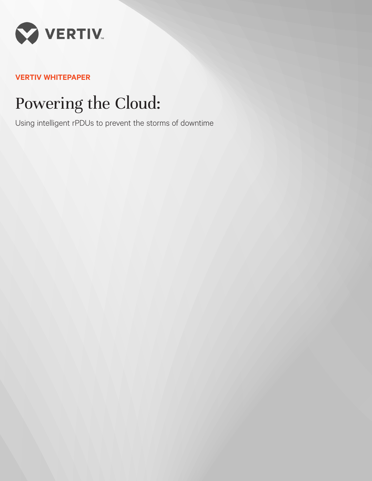

# **VERTIV WHITEPAPER**

# Powering the Cloud:

Using intelligent rPDUs to prevent the storms of downtime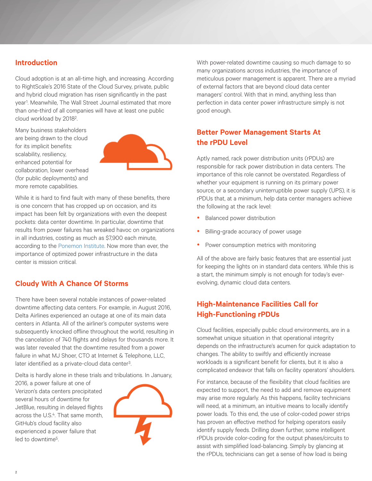### **Introduction**

Cloud adoption is at an all-time high, and increasing. According to RightScale's 2016 State of the Cloud Survey, private, public and hybrid cloud migration has risen significantly in the past year1 . Meanwhile, The Wall Street Journal estimated that more than one-third of all companies will have at least one public cloud workload by 20182.

Many business stakeholders are being drawn to the cloud for its implicit benefits: scalability, resiliency, enhanced potential for collaboration, lower overhead (for public deployments) and more remote capabilities.



While it is hard to find fault with many of these benefits, there is one concern that has cropped up on occasion, and its impact has been felt by organizations with even the deepest pockets: data center downtime. In particular, downtime that results from power failures has wreaked havoc on organizations in all industries, costing as much as \$7,900 each minute, according to the [Ponemon Institute.](https://www.vertiv.com/globalassets/documents/reports/2016-cost-of-data-center-outages-11-11_51190_1.pdf) Now more than ever, the importance of optimized power infrastructure in the data center is mission critical.

### **Cloudy With A Chance Of Storms**

There have been several notable instances of power-related downtime affecting data centers. For example, in August 2016, Delta Airlines experienced an outage at one of its main data centers in Atlanta. All of the airliner's computer systems were subsequently knocked offline throughout the world, resulting in the cancelation of 740 flights and delays for thousands more. It was later revealed that the downtime resulted from a power failure in what MJ Shoer, CTO at Internet & Telephone, LLC, later identified as a private-cloud data center<sup>3</sup>.

Delta is hardly alone in these trials and tribulations. In January,

2016, a power failure at one of Verizon's data centers precipitated several hours of downtime for JetBlue, resulting in delayed flights across the U.S.4. That same month, GitHub's cloud facility also experienced a power failure that led to downtime5.



With power-related downtime causing so much damage to so many organizations across industries, the importance of meticulous power management is apparent. There are a myriad of external factors that are beyond cloud data center managers' control. With that in mind, anything less than perfection in data center power infrastructure simply is not good enough.

## **Better Power Management Starts At the rPDU Level**

Aptly named, rack power distribution units (rPDUs) are responsible for rack power distribution in data centers. The importance of this role cannot be overstated. Regardless of whether your equipment is running on its primary power source, or a secondary uninterruptible power supply (UPS), it is rPDUs that, at a minimum, help data center managers achieve the following at the rack level:

- Balanced power distribution
- Billing-grade accuracy of power usage
- Power consumption metrics with monitoring

All of the above are fairly basic features that are essential just for keeping the lights on in standard data centers. While this is a start, the minimum simply is not enough for today's everevolving, dynamic cloud data centers.

# **High-Maintenance Facilities Call for High-Functioning rPDUs**

Cloud facilities, especially public cloud environments, are in a somewhat unique situation in that operational integrity depends on the infrastructure's acumen for quick adaptation to changes. The ability to swiftly and efficiently increase workloads is a significant benefit for clients, but it is also a complicated endeavor that falls on facility operators' shoulders.

For instance, because of the flexibility that cloud facilities are expected to support, the need to add and remove equipment may arise more regularly. As this happens, facility technicians will need, at a minimum, an intuitive means to locally identify power loads. To this end, the use of color-coded power strips has proven an effective method for helping operators easily identify supply feeds. Drilling down further, some intelligent rPDUs provide color-coding for the output phases/circuits to assist with simplified load-balancing. Simply by glancing at the rPDUs, technicians can get a sense of how load is being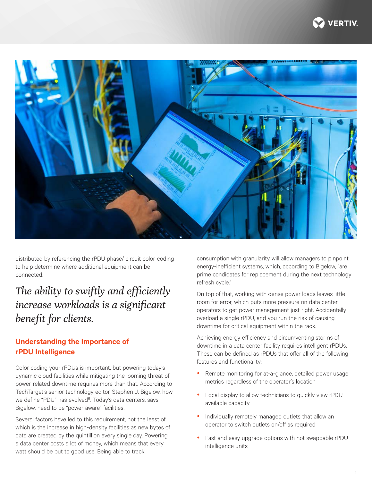



distributed by referencing the rPDU phase/ circuit color-coding to help determine where additional equipment can be connected.

# *The ability to swiftly and efficiently increase workloads is a significant benefit for clients.*

### **Understanding the Importance of rPDU Intelligence**

Color coding your rPDUs is important, but powering today's dynamic cloud facilities while mitigating the looming threat of power-related downtime requires more than that. According to TechTarget's senior technology editor, Stephen J. Bigelow, how we define "PDU" has evolved<sup>6</sup>. Today's data centers, says Bigelow, need to be "power-aware" facilities.

Several factors have led to this requirement, not the least of which is the increase in high-density facilities as new bytes of data are created by the quintillion every single day. Powering a data center costs a lot of money, which means that every watt should be put to good use. Being able to track

consumption with granularity will allow managers to pinpoint energy-inefficient systems, which, according to Bigelow, "are prime candidates for replacement during the next technology refresh cycle."

On top of that, working with dense power loads leaves little room for error, which puts more pressure on data center operators to get power management just right. Accidentally overload a single rPDU, and you run the risk of causing downtime for critical equipment within the rack.

Achieving energy efficiency and circumventing storms of downtime in a data center facility requires intelligent rPDUs. These can be defined as rPDUs that offer all of the following features and functionality:

- Remote monitoring for at-a-glance, detailed power usage metrics regardless of the operator's location
- Local display to allow technicians to quickly view rPDU available capacity
- Individually remotely managed outlets that allow an operator to switch outlets on/off as required
- Fast and easy upgrade options with hot swappable rPDU intelligence units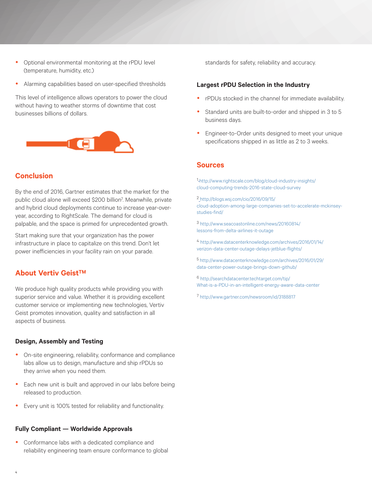- Optional environmental monitoring at the rPDU level (temperature, humidity, etc.)
- Alarming capabilities based on user-specified thresholds

This level of intelligence allows operators to power the cloud without having to weather storms of downtime that cost businesses billions of dollars.



### **Conclusion**

By the end of 2016, Gartner estimates that the market for the public cloud alone will exceed \$200 billion7. Meanwhile, private and hybrid cloud deployments continue to increase year-overyear, according to RightScale. The demand for cloud is palpable, and the space is primed for unprecedented growth.

Start making sure that your organization has the power infrastructure in place to capitalize on this trend. Don't let power inefficiencies in your facility rain on your parade.

#### **About Vertiv GeistTM**

We produce high quality products while providing you with superior service and value. Whether it is providing excellent customer service or implementing new technologies, Vertiv Geist promotes innovation, quality and satisfaction in all aspects of business.

#### **Design, Assembly and Testing**

- On-site engineering, reliability, conformance and compliance labs allow us to design, manufacture and ship rPDUs so they arrive when you need them.
- Each new unit is built and approved in our labs before being released to production.
- Every unit is 100% tested for reliability and functionality.

#### **Fully Compliant — Worldwide Approvals**

• Conformance labs with a dedicated compliance and reliability engineering team ensure conformance to global standards for safety, reliability and accuracy.

#### **Largest rPDU Selection in the Industry**

- rPDUs stocked in the channel for immediate availability.
- Standard units are built-to-order and shipped in 3 to 5 business days.
- Engineer-to-Order units designed to meet your unique specifications shipped in as little as 2 to 3 weeks.

#### **Sources**

1 [http://www.rightscale.com/blog/cloud-industry-insights/]( http://www.rightscale.com/blog/cloud-industry-insights/cloud-computing-trends-2016-state-cloud-surv) [cloud-computing-trends-2016-state-cloud-survey]( http://www.rightscale.com/blog/cloud-industry-insights/cloud-computing-trends-2016-state-cloud-surv)

2 [http://blogs.wsj.com/cio/2016/09/15/]( http://blogs.wsj.com/cio/2016/09/15/cloud-adoption-among-large-companies-set-to-accelerate-mckinsey) [cloud-adoption-among-large-companies-set-to-accelerate-mckinsey]( http://blogs.wsj.com/cio/2016/09/15/cloud-adoption-among-large-companies-set-to-accelerate-mckinsey)[studies-find/]( http://blogs.wsj.com/cio/2016/09/15/cloud-adoption-among-large-companies-set-to-accelerate-mckinsey)

3 [http://www.seacoastonline.com/news/20160814/](http://www.seacoastonline.com/news/20160814/lessons-from-delta-airlines-it-outage) [lessons-from-delta-airlines-it-outage](http://www.seacoastonline.com/news/20160814/lessons-from-delta-airlines-it-outage)

4 [http://www.datacenterknowledge.com/archives/2016/01/14/](http://www.datacenterknowledge.com/archives/2016/01/14/verizon-data-center-outage-delays-jetblue-fli) [verizon-data-center-outage-delays-jetblue-flights/](http://www.datacenterknowledge.com/archives/2016/01/14/verizon-data-center-outage-delays-jetblue-fli)

5 [http://www.datacenterknowledge.com/archives/2016/01/29/](http://www.datacenterknowledge.com/archives/2016/01/29/data-center-power-outage-brings-down-github/) [data-center-power-outage-brings-down-github/](http://www.datacenterknowledge.com/archives/2016/01/29/data-center-power-outage-brings-down-github/)

6 [http://searchdatacenter.techtarget.com/tip/](http://searchdatacenter.techtarget.com/tip/What-is-a-PDU-in-an-intelligent-energy-aware-data-center) [What-is-a-PDU-in-an-intelligent-energy-aware-data-center](http://searchdatacenter.techtarget.com/tip/What-is-a-PDU-in-an-intelligent-energy-aware-data-center)

[7 http://www.gartner.com/newsroom/id/3188817]( http://www.gartner.com/newsroom/id/3188817)